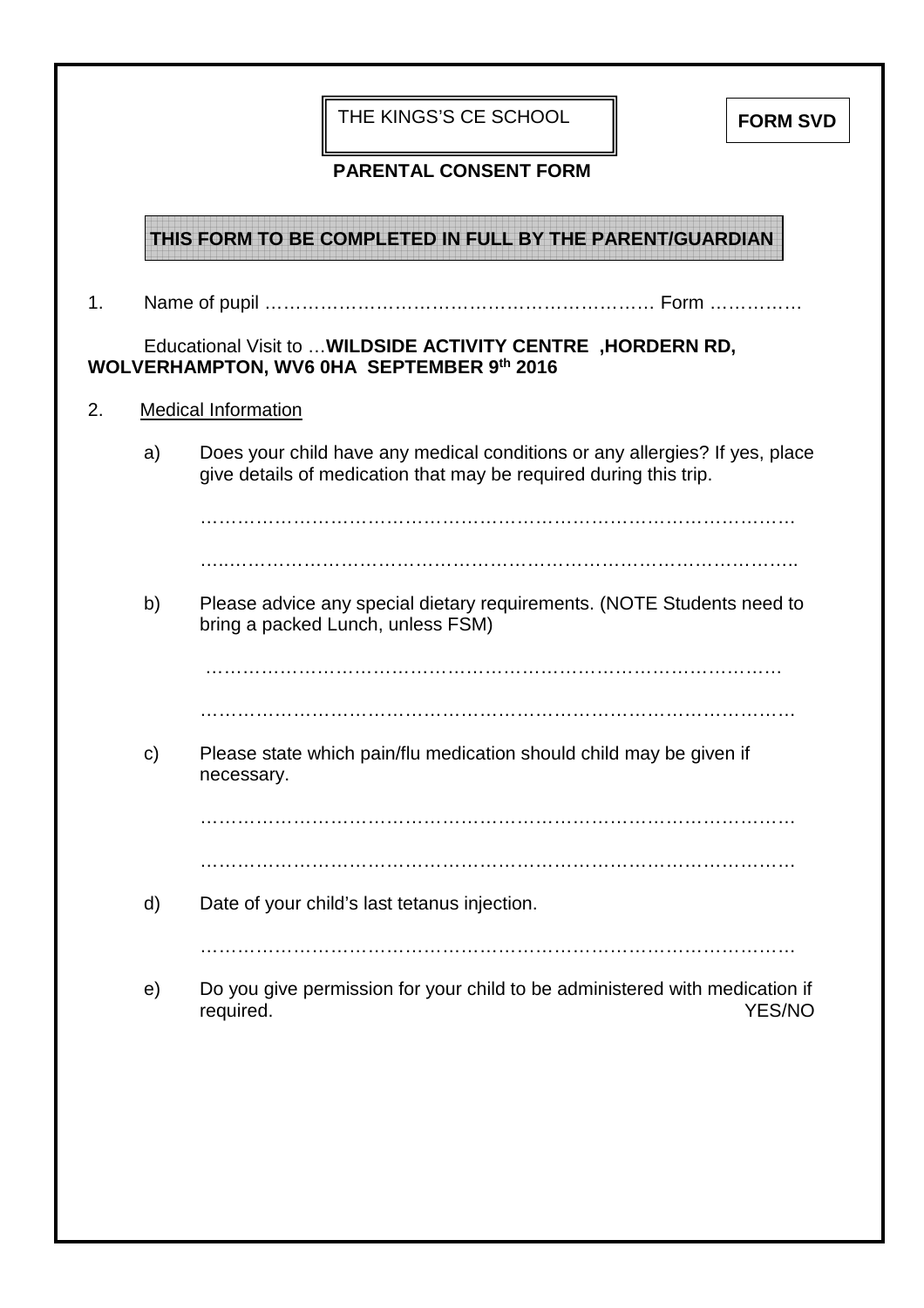| <b>PARENTAL CONSENT FORM</b><br>THIS FORM TO BE COMPLETED IN FULL BY THE PARENT/GUARDIAN<br>1.<br>Educational Visit to  WILDSIDE ACTIVITY CENTRE, HORDERN RD,<br>WOLVERHAMPTON, WV6 0HA SEPTEMBER 9th 2016<br>2.<br><b>Medical Information</b><br>Does your child have any medical conditions or any allergies? If yes, place<br>a) |
|-------------------------------------------------------------------------------------------------------------------------------------------------------------------------------------------------------------------------------------------------------------------------------------------------------------------------------------|
|                                                                                                                                                                                                                                                                                                                                     |
|                                                                                                                                                                                                                                                                                                                                     |
|                                                                                                                                                                                                                                                                                                                                     |
|                                                                                                                                                                                                                                                                                                                                     |
|                                                                                                                                                                                                                                                                                                                                     |
| give details of medication that may be required during this trip.                                                                                                                                                                                                                                                                   |
|                                                                                                                                                                                                                                                                                                                                     |
|                                                                                                                                                                                                                                                                                                                                     |
| b)<br>Please advice any special dietary requirements. (NOTE Students need to<br>bring a packed Lunch, unless FSM)                                                                                                                                                                                                                   |
|                                                                                                                                                                                                                                                                                                                                     |
|                                                                                                                                                                                                                                                                                                                                     |
| Please state which pain/flu medication should child may be given if<br>$\mathsf{c})$<br>necessary.                                                                                                                                                                                                                                  |
|                                                                                                                                                                                                                                                                                                                                     |
|                                                                                                                                                                                                                                                                                                                                     |
| d)<br>Date of your child's last tetanus injection.                                                                                                                                                                                                                                                                                  |
|                                                                                                                                                                                                                                                                                                                                     |
| Do you give permission for your child to be administered with medication if<br>e)<br><b>YES/NO</b><br>required.                                                                                                                                                                                                                     |
|                                                                                                                                                                                                                                                                                                                                     |
|                                                                                                                                                                                                                                                                                                                                     |